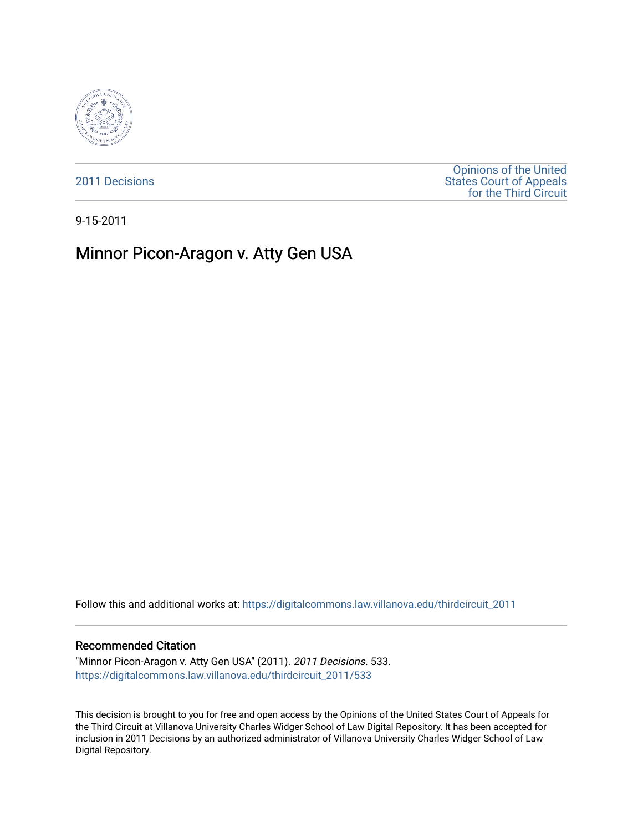

[2011 Decisions](https://digitalcommons.law.villanova.edu/thirdcircuit_2011)

[Opinions of the United](https://digitalcommons.law.villanova.edu/thirdcircuit)  [States Court of Appeals](https://digitalcommons.law.villanova.edu/thirdcircuit)  [for the Third Circuit](https://digitalcommons.law.villanova.edu/thirdcircuit) 

9-15-2011

# Minnor Picon-Aragon v. Atty Gen USA

Follow this and additional works at: [https://digitalcommons.law.villanova.edu/thirdcircuit\\_2011](https://digitalcommons.law.villanova.edu/thirdcircuit_2011?utm_source=digitalcommons.law.villanova.edu%2Fthirdcircuit_2011%2F533&utm_medium=PDF&utm_campaign=PDFCoverPages) 

#### Recommended Citation

"Minnor Picon-Aragon v. Atty Gen USA" (2011). 2011 Decisions. 533. [https://digitalcommons.law.villanova.edu/thirdcircuit\\_2011/533](https://digitalcommons.law.villanova.edu/thirdcircuit_2011/533?utm_source=digitalcommons.law.villanova.edu%2Fthirdcircuit_2011%2F533&utm_medium=PDF&utm_campaign=PDFCoverPages)

This decision is brought to you for free and open access by the Opinions of the United States Court of Appeals for the Third Circuit at Villanova University Charles Widger School of Law Digital Repository. It has been accepted for inclusion in 2011 Decisions by an authorized administrator of Villanova University Charles Widger School of Law Digital Repository.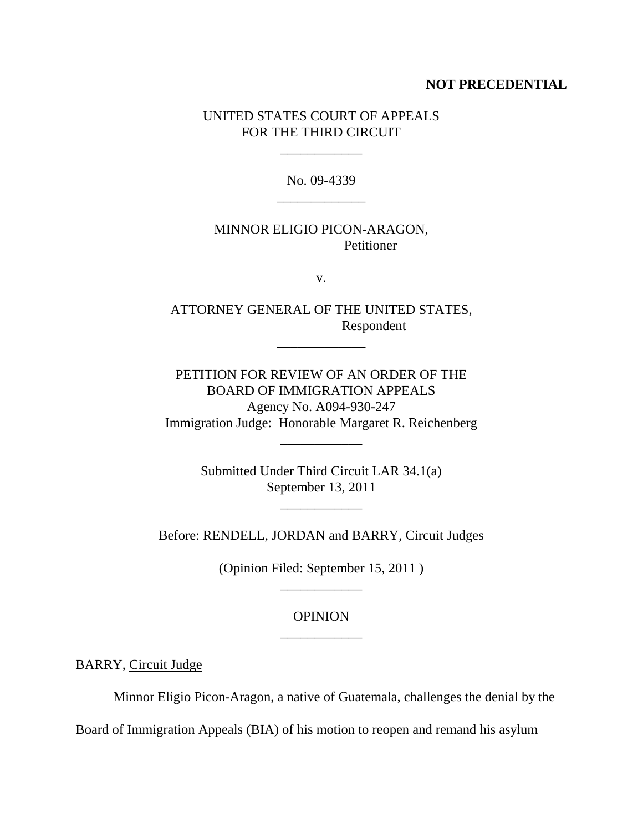## **NOT PRECEDENTIAL**

## UNITED STATES COURT OF APPEALS FOR THE THIRD CIRCUIT

\_\_\_\_\_\_\_\_\_\_\_\_

No. 09-4339 \_\_\_\_\_\_\_\_\_\_\_\_\_

## MINNOR ELIGIO PICON-ARAGON, Petitioner

v.

ATTORNEY GENERAL OF THE UNITED STATES, Respondent

\_\_\_\_\_\_\_\_\_\_\_\_\_

PETITION FOR REVIEW OF AN ORDER OF THE BOARD OF IMMIGRATION APPEALS Agency No. A094-930-247 Immigration Judge: Honorable Margaret R. Reichenberg

\_\_\_\_\_\_\_\_\_\_\_\_

Submitted Under Third Circuit LAR 34.1(a) September 13, 2011

\_\_\_\_\_\_\_\_\_\_\_\_

Before: RENDELL, JORDAN and BARRY, Circuit Judges

(Opinion Filed: September 15, 2011 ) \_\_\_\_\_\_\_\_\_\_\_\_

> OPINION \_\_\_\_\_\_\_\_\_\_\_\_

BARRY, Circuit Judge

Minnor Eligio Picon-Aragon, a native of Guatemala, challenges the denial by the

Board of Immigration Appeals (BIA) of his motion to reopen and remand his asylum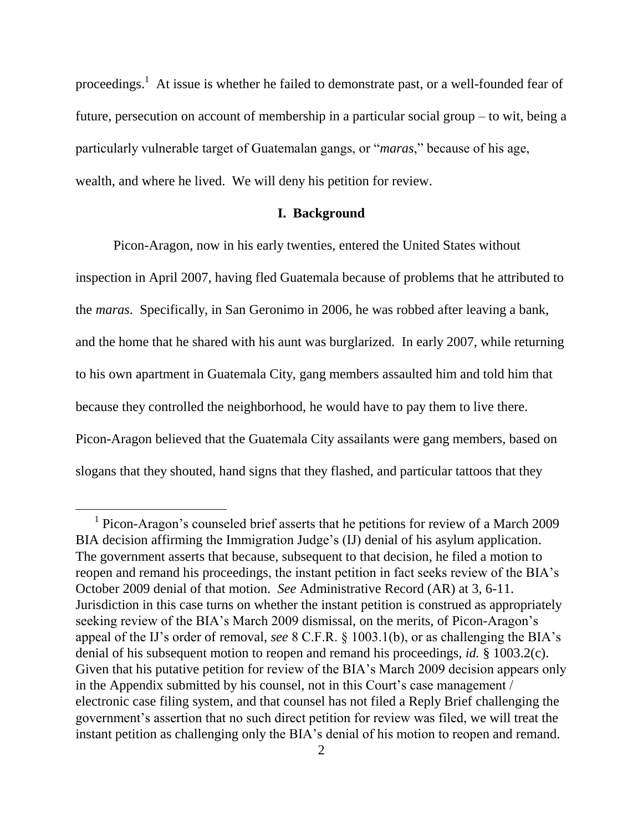proceedings.<sup>1</sup> At issue is whether he failed to demonstrate past, or a well-founded fear of future, persecution on account of membership in a particular social group – to wit, being a particularly vulnerable target of Guatemalan gangs, or "*maras*," because of his age, wealth, and where he lived. We will deny his petition for review.

#### **I. Background**

Picon-Aragon, now in his early twenties, entered the United States without inspection in April 2007, having fled Guatemala because of problems that he attributed to the *maras*. Specifically, in San Geronimo in 2006, he was robbed after leaving a bank, and the home that he shared with his aunt was burglarized. In early 2007, while returning to his own apartment in Guatemala City, gang members assaulted him and told him that because they controlled the neighborhood, he would have to pay them to live there. Picon-Aragon believed that the Guatemala City assailants were gang members, based on slogans that they shouted, hand signs that they flashed, and particular tattoos that they

 $\overline{a}$ 

<sup>&</sup>lt;sup>1</sup> Picon-Aragon's counseled brief asserts that he petitions for review of a March 2009 BIA decision affirming the Immigration Judge's (IJ) denial of his asylum application. The government asserts that because, subsequent to that decision, he filed a motion to reopen and remand his proceedings, the instant petition in fact seeks review of the BIA"s October 2009 denial of that motion. *See* Administrative Record (AR) at 3, 6-11. Jurisdiction in this case turns on whether the instant petition is construed as appropriately seeking review of the BIA's March 2009 dismissal, on the merits, of Picon-Aragon's appeal of the IJ"s order of removal, *see* 8 C.F.R. § 1003.1(b), or as challenging the BIA"s denial of his subsequent motion to reopen and remand his proceedings, *id.* § 1003.2(c). Given that his putative petition for review of the BIA"s March 2009 decision appears only in the Appendix submitted by his counsel, not in this Court's case management / electronic case filing system, and that counsel has not filed a Reply Brief challenging the government"s assertion that no such direct petition for review was filed, we will treat the instant petition as challenging only the BIA"s denial of his motion to reopen and remand.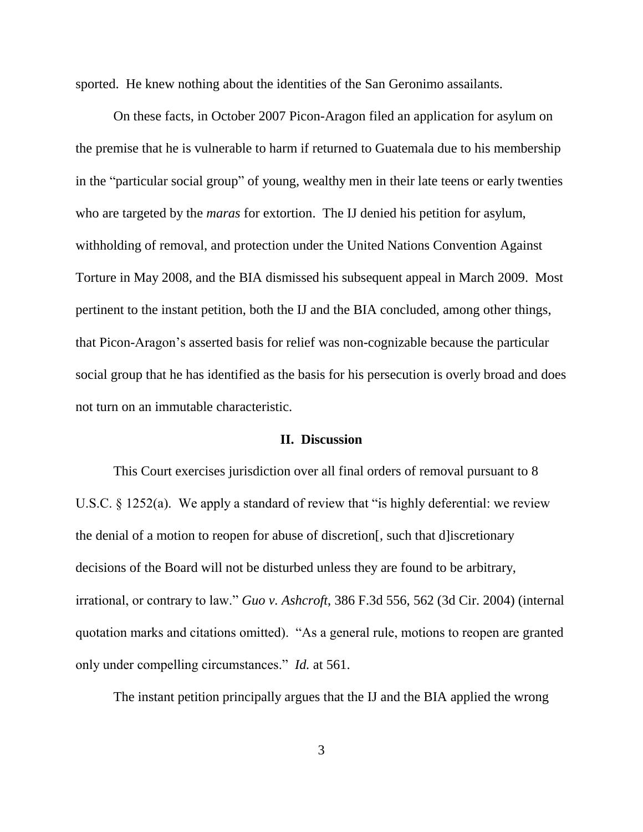sported. He knew nothing about the identities of the San Geronimo assailants.

On these facts, in October 2007 Picon-Aragon filed an application for asylum on the premise that he is vulnerable to harm if returned to Guatemala due to his membership in the "particular social group" of young, wealthy men in their late teens or early twenties who are targeted by the *maras* for extortion. The IJ denied his petition for asylum, withholding of removal, and protection under the United Nations Convention Against Torture in May 2008, and the BIA dismissed his subsequent appeal in March 2009. Most pertinent to the instant petition, both the IJ and the BIA concluded, among other things, that Picon-Aragon"s asserted basis for relief was non-cognizable because the particular social group that he has identified as the basis for his persecution is overly broad and does not turn on an immutable characteristic.

#### **II. Discussion**

This Court exercises jurisdiction over all final orders of removal pursuant to 8 U.S.C. § 1252(a). We apply a standard of review that "is highly deferential: we review the denial of a motion to reopen for abuse of discretion[, such that d]iscretionary decisions of the Board will not be disturbed unless they are found to be arbitrary, irrational, or contrary to law." *Guo v. Ashcroft*, 386 F.3d 556, 562 (3d Cir. 2004) (internal quotation marks and citations omitted). "As a general rule, motions to reopen are granted only under compelling circumstances." *Id.* at 561.

The instant petition principally argues that the IJ and the BIA applied the wrong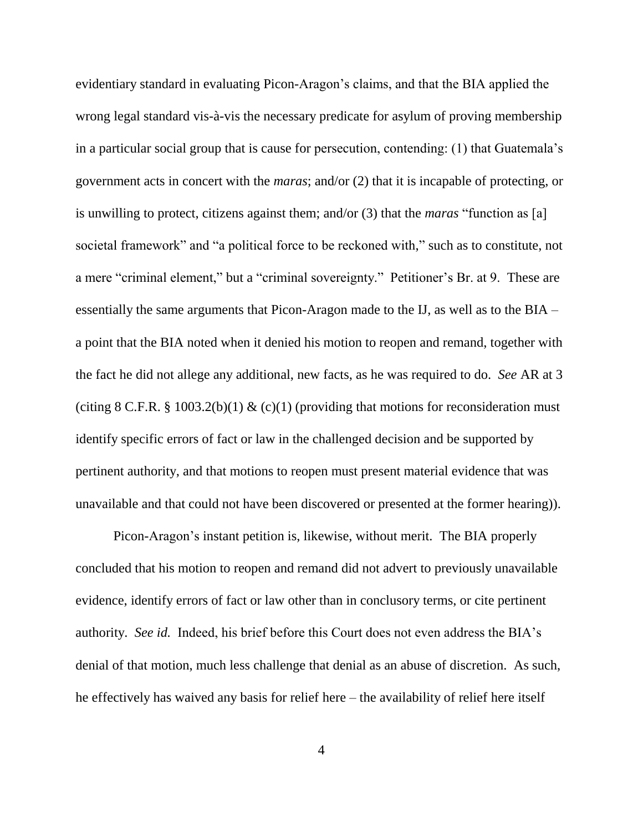evidentiary standard in evaluating Picon-Aragon"s claims, and that the BIA applied the wrong legal standard vis-à-vis the necessary predicate for asylum of proving membership in a particular social group that is cause for persecution, contending: (1) that Guatemala"s government acts in concert with the *maras*; and/or (2) that it is incapable of protecting, or is unwilling to protect, citizens against them; and/or (3) that the *maras* "function as [a] societal framework" and "a political force to be reckoned with," such as to constitute, not a mere "criminal element," but a "criminal sovereignty." Petitioner"s Br. at 9. These are essentially the same arguments that Picon-Aragon made to the IJ, as well as to the BIA – a point that the BIA noted when it denied his motion to reopen and remand, together with the fact he did not allege any additional, new facts, as he was required to do. *See* AR at 3 (citing 8 C.F.R. § 1003.2(b)(1) & (c)(1) (providing that motions for reconsideration must identify specific errors of fact or law in the challenged decision and be supported by pertinent authority, and that motions to reopen must present material evidence that was unavailable and that could not have been discovered or presented at the former hearing)).

Picon-Aragon"s instant petition is, likewise, without merit. The BIA properly concluded that his motion to reopen and remand did not advert to previously unavailable evidence, identify errors of fact or law other than in conclusory terms, or cite pertinent authority. *See id.* Indeed, his brief before this Court does not even address the BIA"s denial of that motion, much less challenge that denial as an abuse of discretion. As such, he effectively has waived any basis for relief here – the availability of relief here itself